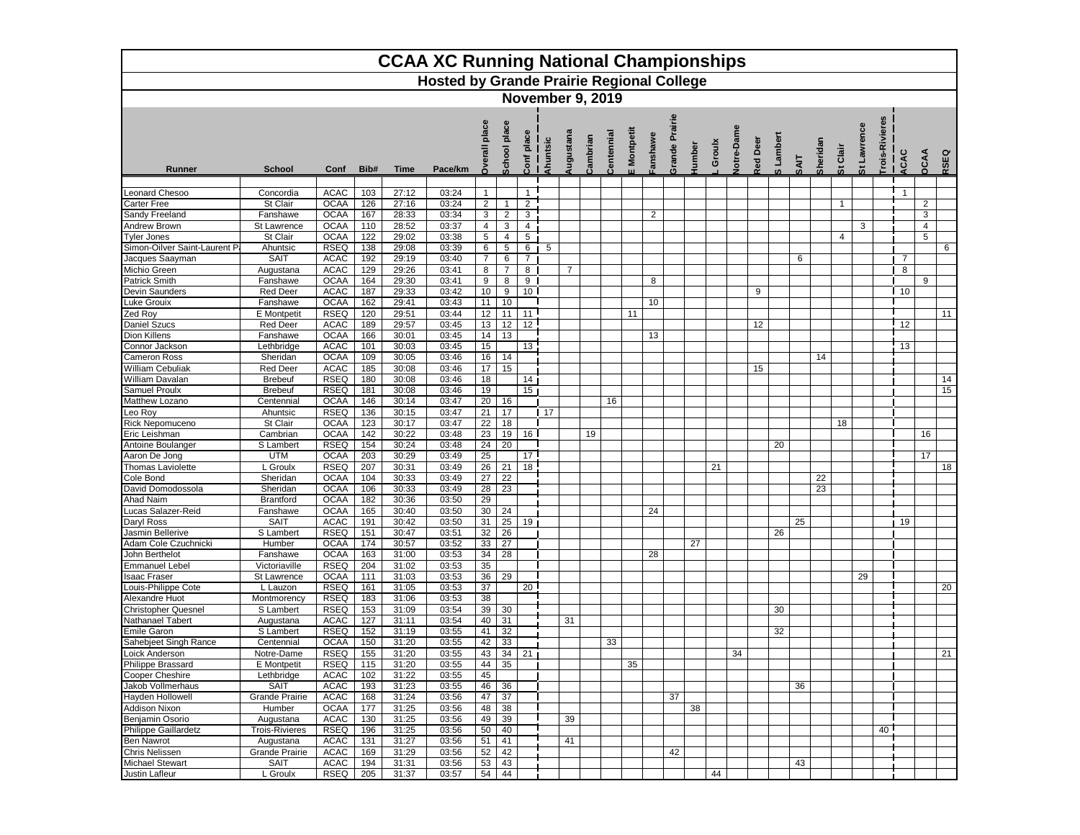| <b>CCAA XC Running National Championships</b><br><b>Hosted by Grande Prairie Regional College</b> |                        |                            |            |                |                |                         |                     |                                |                         |                |          |            |                |         |                |        |        |                   |                |               |             |          |              |             |                |              |                |      |
|---------------------------------------------------------------------------------------------------|------------------------|----------------------------|------------|----------------|----------------|-------------------------|---------------------|--------------------------------|-------------------------|----------------|----------|------------|----------------|---------|----------------|--------|--------|-------------------|----------------|---------------|-------------|----------|--------------|-------------|----------------|--------------|----------------|------|
|                                                                                                   |                        |                            |            |                |                |                         |                     |                                |                         |                |          |            |                |         |                |        |        |                   |                |               |             |          |              |             |                |              |                |      |
|                                                                                                   |                        |                            |            |                |                |                         |                     |                                | <b>November 9, 2019</b> |                |          |            |                |         |                |        |        |                   |                |               |             |          |              |             |                |              |                |      |
| Runner                                                                                            | School                 | Conf                       | Bib#       | <b>Time</b>    | Pace/km        | place<br><b>Dverall</b> | <b>School place</b> | place<br>$rac{\sigma}{\sigma}$ | Ahuntsic                | Augustana      | Cambrian | Centennial | Montpetit<br>ш | anshawe | Grande Prairie | Humber | Groulx | <b>Jotre-Dame</b> | <b>Red Dee</b> | Lambert<br>ဖာ | <b>SAIT</b> | Sheridan | St Clair     | St Lawrence | Trois-Rivieres | ACAC         | OCAA           | RSEQ |
| Leonard Chesoo                                                                                    | Concordia              | <b>ACAC</b>                | 103        | 27:12          | 03:24          | $\mathbf{1}$            |                     | $\mathbf{1}$                   |                         |                |          |            |                |         |                |        |        |                   |                |               |             |          |              |             |                | $\mathbf{1}$ |                |      |
| Carter Free                                                                                       | St Clair               | <b>OCAA</b>                | 126        | 27:16          | 03:24          | $\overline{2}$          | $\mathbf{1}$        | $\overline{2}$                 |                         |                |          |            |                |         |                |        |        |                   |                |               |             |          | $\mathbf{1}$ |             |                |              | $\overline{2}$ |      |
| Sandy Freeland                                                                                    | Fanshawe               | <b>OCAA</b>                | 167        | 28:33          | 03:34          | 3                       | $\overline{2}$      | 3                              |                         |                |          |            |                | 2       |                |        |        |                   |                |               |             |          |              |             |                |              | 3              |      |
| Andrew Brown                                                                                      | St Lawrence            | <b>OCAA</b>                | 110        | 28:52          | 03:37          | $\overline{4}$          | 3                   | 4                              |                         |                |          |            |                |         |                |        |        |                   |                |               |             |          |              | 3           |                |              | 4              |      |
| <b>Tyler Jones</b>                                                                                | St Clair               | <b>OCAA</b>                | 122        | 29:02          | 03:38          | 5                       | 4                   | 5                              |                         |                |          |            |                |         |                |        |        |                   |                |               |             |          | 4            |             |                |              | 5              |      |
| Simon-Oilver Saint-Laurent Pi                                                                     | Ahuntsic               | <b>RSEQ</b>                | 138        | 29:08          | 03:39          | 6                       | 5                   | 6                              | 5                       |                |          |            |                |         |                |        |        |                   |                |               |             |          |              |             |                |              |                | 6    |
| Jacques Saayman                                                                                   | <b>SAIT</b>            | <b>ACAC</b>                | 192        | 29:19          | 03:40          | $\overline{7}$          | 6                   | 7                              |                         |                |          |            |                |         |                |        |        |                   |                |               | 6           |          |              |             |                | 7            |                |      |
| Michio Green                                                                                      | Augustana              | <b>ACAC</b>                | 129        | 29:26          | 03:41          | 8                       | $\overline{7}$      | 8                              |                         | $\overline{7}$ |          |            |                |         |                |        |        |                   |                |               |             |          |              |             |                | 8            |                |      |
| Patrick Smith                                                                                     | Fanshawe               | <b>OCAA</b>                | 164        | 29:30          | 03:41          | 9                       | 8                   | 9                              |                         |                |          |            |                | 8       |                |        |        |                   |                |               |             |          |              |             |                |              | 9              |      |
| Devin Saunders                                                                                    | <b>Red Deer</b>        | <b>ACAC</b>                | 187        | 29:33          | 03:42          | 10                      | 9                   | 10 <sup>1</sup>                |                         |                |          |            |                |         |                |        |        |                   | 9              |               |             |          |              |             |                | 10           |                |      |
| uke Grouix.                                                                                       | Fanshawe               | <b>OCAA</b>                | 162        | 29:41          | 03:43          | 11                      | 10                  |                                |                         |                |          |            |                | 10      |                |        |        |                   |                |               |             |          |              |             |                |              |                |      |
| Zed Roy                                                                                           | E Montpetit            | <b>RSEQ</b>                | 120        | 29:51          | 03:44          | 12                      | 11                  | 11                             |                         |                |          |            | 11             |         |                |        |        |                   |                |               |             |          |              |             |                |              |                | 11   |
| Daniel Szucs                                                                                      | <b>Red Deer</b>        | <b>ACAC</b>                | 189        | 29:57          | 03:45          | 13                      | 12                  | 12                             |                         |                |          |            |                |         |                |        |        |                   | 12             |               |             |          |              |             |                | 12           |                |      |
| Dion Killens<br>Connor Jackson                                                                    | Fanshawe<br>Lethbridae | <b>OCAA</b><br><b>ACAC</b> | 166<br>101 | 30:01<br>30:03 | 03:45<br>03:45 | 14<br>15                | 13                  | 13                             |                         |                |          |            |                | 13      |                |        |        |                   |                |               |             |          |              |             |                | 13           |                |      |
| Cameron Ross                                                                                      | Sheridan               | <b>OCAA</b>                | 109        | 30:05          | 03:46          | 16                      | 14                  |                                |                         |                |          |            |                |         |                |        |        |                   |                |               |             | 14       |              |             |                |              |                |      |
| <b>William Cebuliak</b>                                                                           | <b>Red Deer</b>        | <b>ACAC</b>                | 185        | 30:08          | 03:46          | 17                      | 15                  |                                |                         |                |          |            |                |         |                |        |        |                   | 15             |               |             |          |              |             |                |              |                |      |
| William Davalan                                                                                   | <b>Brebeuf</b>         | <b>RSEQ</b>                | 180        | 30:08          | 03:46          | 18                      |                     | 14                             |                         |                |          |            |                |         |                |        |        |                   |                |               |             |          |              |             |                |              |                | 14   |
| Samuel Proulx                                                                                     | <b>Brebeuf</b>         | <b>RSEQ</b>                | 181        | 30:08          | 03:46          | 19                      |                     | 15                             |                         |                |          |            |                |         |                |        |        |                   |                |               |             |          |              |             |                |              |                | 15   |
| Matthew Lozano                                                                                    | Centennial             | <b>OCAA</b>                | 146        | 30:14          | 03:47          | 20                      | 16                  |                                |                         |                |          | 16         |                |         |                |        |        |                   |                |               |             |          |              |             |                |              |                |      |
| Leo Roy                                                                                           | Ahuntsic               | <b>RSEQ</b>                | 136        | 30:15          | 03:47          | 21                      | 17                  |                                | 17                      |                |          |            |                |         |                |        |        |                   |                |               |             |          |              |             |                |              |                |      |
| Rick Nepomuceno                                                                                   | St Clair               | <b>OCAA</b>                | 123        | 30:17          | 03:47          | 22                      | 18                  |                                |                         |                |          |            |                |         |                |        |        |                   |                |               |             |          | 18           |             |                |              |                |      |
| Eric Leishman                                                                                     | Cambrian               | <b>OCAA</b>                | 142        | 30:22          | 03:48          | 23                      | 19                  | 16                             |                         |                | 19       |            |                |         |                |        |        |                   |                |               |             |          |              |             |                |              | 16             |      |
| Antoine Boulanger                                                                                 | S Lambert              | <b>RSEQ</b>                | 154        | 30:24          | 03:48          | 24                      | 20                  |                                |                         |                |          |            |                |         |                |        |        |                   |                | 20            |             |          |              |             |                |              |                |      |
| Aaron De Jong                                                                                     | <b>UTM</b>             | <b>OCAA</b>                | 203        | 30:29          | 03:49          | 25                      |                     | 17                             |                         |                |          |            |                |         |                |        |        |                   |                |               |             |          |              |             |                |              | 17             |      |
| <b>Thomas Laviolette</b>                                                                          | L Groulx               | <b>RSEQ</b>                | 207        | 30:31          | 03:49          | 26                      | 21                  | 18                             |                         |                |          |            |                |         |                |        | 21     |                   |                |               |             |          |              |             |                |              |                | 18   |
| Cole Bond                                                                                         | Sheridan               | <b>OCAA</b>                | 104        | 30:33          | 03:49          | 27                      | 22                  |                                |                         |                |          |            |                |         |                |        |        |                   |                |               |             | 22       |              |             |                |              |                |      |
| David Domodossola                                                                                 | Sheridan               | <b>OCAA</b>                | 106        | 30:33          | 03:49          | 28                      | 23                  |                                |                         |                |          |            |                |         |                |        |        |                   |                |               |             | 23       |              |             |                |              |                |      |
| Ahad Naim                                                                                         | <b>Brantford</b>       | <b>OCAA</b>                | 182        | 30:36          | 03:50          | 29                      |                     |                                |                         |                |          |            |                |         |                |        |        |                   |                |               |             |          |              |             |                |              |                |      |
| Lucas Salazer-Reid                                                                                | Fanshawe               | <b>OCAA</b>                | 165        | 30:40          | 03:50          | 30                      | 24                  |                                |                         |                |          |            |                | 24      |                |        |        |                   |                |               |             |          |              |             |                |              |                |      |
| Daryl Ross                                                                                        | <b>SAIT</b>            | <b>ACAC</b>                | 191        | 30:42          | 03:50          | 31                      | 25                  | 19                             |                         |                |          |            |                |         |                |        |        |                   |                |               | 25          |          |              |             |                | 19           |                |      |
| Jasmin Bellerive<br>Adam Cole Czuchnicki                                                          | S Lambert              | <b>RSEQ</b><br><b>OCAA</b> | 151<br>174 | 30:47<br>30:57 | 03:51          | 32<br>33                | 26<br>27            |                                |                         |                |          |            |                |         |                | 27     |        |                   |                | 26            |             |          |              |             |                |              |                |      |
| John Berthelot                                                                                    | Humber<br>Fanshawe     | <b>OCAA</b>                | 163        | 31:00          | 03:52<br>03:53 | 34                      | 28                  |                                |                         |                |          |            |                | 28      |                |        |        |                   |                |               |             |          |              |             |                |              |                |      |
| <b>Emmanuel Lebel</b>                                                                             | Victoriaville          | <b>RSEQ</b>                | 204        | 31:02          | 03:53          | 35                      |                     |                                |                         |                |          |            |                |         |                |        |        |                   |                |               |             |          |              |             |                |              |                |      |
| saac Fraser                                                                                       | St Lawrence            | <b>OCAA</b>                | 111        | 31:03          | 03:53          | 36                      | 29                  |                                |                         |                |          |            |                |         |                |        |        |                   |                |               |             |          |              | 29          |                |              |                |      |
| ouis-Philippe Cote                                                                                | L Lauzon               | <b>RSEQ</b>                | 161        | 31:05          | 03:53          | 37                      |                     | 20                             |                         |                |          |            |                |         |                |        |        |                   |                |               |             |          |              |             |                |              |                | 20   |
| Alexandre Huot                                                                                    | Montmorency            | <b>RSEQ</b>                | 183        | 31:06          | 03:53          | 38                      |                     |                                |                         |                |          |            |                |         |                |        |        |                   |                |               |             |          |              |             |                |              |                |      |
| <b>Christopher Quesnel</b>                                                                        | S Lambert              | <b>RSEQ</b>                | 153        | 31:09          | 03:54          | 39                      | 30                  |                                |                         |                |          |            |                |         |                |        |        |                   |                | 30            |             |          |              |             |                |              |                |      |
| Nathanael Tabert                                                                                  | Augustana              | <b>ACAC</b>                | 127        | 31:11          | 03:54          | 40                      | 31                  |                                |                         | 31             |          |            |                |         |                |        |        |                   |                |               |             |          |              |             |                |              |                |      |
| <b>Emile Garon</b>                                                                                | S Lambert              | <b>RSEQ</b>                | 152        | 31:19          | 03:55          | 41                      | 32                  |                                |                         |                |          |            |                |         |                |        |        |                   |                | 32            |             |          |              |             |                |              |                |      |
| Sahebjeet Singh Rance                                                                             | Centennial             | <b>OCAA</b>                | 150        | 31:20          | 03:55          | 42                      | 33                  |                                |                         |                |          | 33         |                |         |                |        |        |                   |                |               |             |          |              |             |                |              |                |      |
| Loick Anderson                                                                                    | Notre-Dame             | <b>RSEQ</b>                | 155        | 31:20          | 03:55          | 43                      | 34                  | 21                             |                         |                |          |            |                |         |                |        |        | 34                |                |               |             |          |              |             |                |              |                | 21   |
| Philippe Brassard                                                                                 | <b>E</b> Montpetit     | RSEQ                       | 115        | 31:20          | 03:55          | 44                      | 35                  |                                |                         |                |          |            | 35             |         |                |        |        |                   |                |               |             |          |              |             |                |              |                |      |
| Cooper Cheshire                                                                                   | Lethbridge             | ACAC                       | 102        | 31:22          | 03:55          | 45                      |                     |                                |                         |                |          |            |                |         |                |        |        |                   |                |               |             |          |              |             |                |              |                |      |
| Jakob Vollmerhaus                                                                                 | <b>SAIT</b>            | ACAC                       | 193        | 31:23          | 03:55          | 46                      | 36                  |                                |                         |                |          |            |                |         |                |        |        |                   |                |               | 36          |          |              |             |                |              |                |      |
| Hayden Hollowell                                                                                  | Grande Prairie         | ACAC                       | 168        | 31:24          | 03:56          | 47                      | 37                  |                                |                         |                |          |            |                |         | 37             |        |        |                   |                |               |             |          |              |             |                |              |                |      |
| Addison Nixon<br><b>Beniamin Osorio</b>                                                           | Humber<br>Augustana    | <b>OCAA</b><br>ACAC        | 177        | 31:25          | 03:56          | 48                      | 38<br>39            |                                |                         | 39             |          |            |                |         |                | 38     |        |                   |                |               |             |          |              |             |                |              |                |      |
| Philippe Gaillardetz                                                                              | <b>Trois-Rivieres</b>  | <b>RSEQ</b>                | 130<br>196 | 31:25<br>31:25 | 03:56<br>03:56 | 49<br>50                | 40                  |                                |                         |                |          |            |                |         |                |        |        |                   |                |               |             |          |              |             | 40             |              |                |      |
| Ben Nawrot                                                                                        | Augustana              | ACAC                       | 131        | 31:27          | 03:56          | 51                      | 41                  |                                |                         | 41             |          |            |                |         |                |        |        |                   |                |               |             |          |              |             |                |              |                |      |
| Chris Nelissen                                                                                    | Grande Prairie         | ACAC                       | 169        | 31:29          | 03:56          | 52                      | 42                  |                                |                         |                |          |            |                |         | 42             |        |        |                   |                |               |             |          |              |             |                |              |                |      |
| Michael Stewart                                                                                   | SAIT                   | <b>ACAC</b>                | 194        | 31:31          | 03:56          | 53                      | 43                  |                                |                         |                |          |            |                |         |                |        |        |                   |                |               | 43          |          |              |             |                |              |                |      |
| Justin Lafleur                                                                                    | L Groulx               | RSEQ                       | 205        | 31:37          | 03:57          | 54                      | 44                  |                                |                         |                |          |            |                |         |                |        | 44     |                   |                |               |             |          |              |             |                |              |                |      |